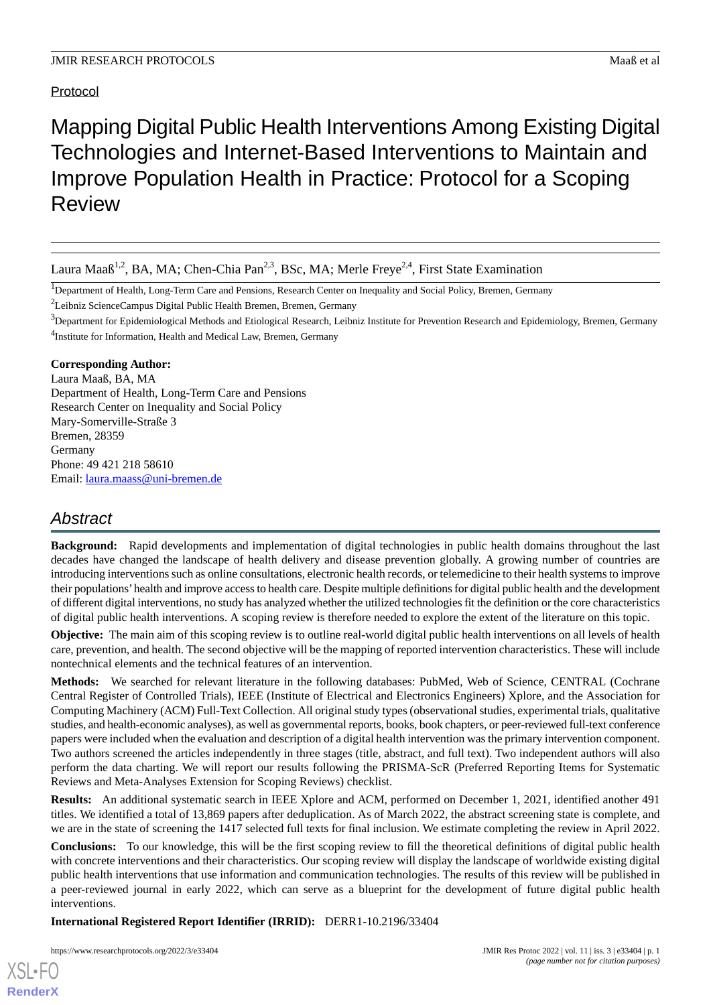# Protocol

Mapping Digital Public Health Interventions Among Existing Digital Technologies and Internet-Based Interventions to Maintain and Improve Population Health in Practice: Protocol for a Scoping Review

Laura Maaß<sup>1,2</sup>, BA, MA; Chen-Chia Pan<sup>2,3</sup>, BSc, MA; Merle Freye<sup>2,4</sup>, First State Examination

<sup>1</sup>Department of Health, Long-Term Care and Pensions, Research Center on Inequality and Social Policy, Bremen, Germany

<sup>2</sup>Leibniz ScienceCampus Digital Public Health Bremen, Bremen, Germany

 $3$ Department for Epidemiological Methods and Etiological Research, Leibniz Institute for Prevention Research and Epidemiology, Bremen, Germany <sup>4</sup>Institute for Information, Health and Medical Law, Bremen, Germany

## **Corresponding Author:**

Laura Maaß, BA, MA Department of Health, Long-Term Care and Pensions Research Center on Inequality and Social Policy Mary-Somerville-Straße 3 Bremen, 28359 Germany Phone: 49 421 218 58610 Email: [laura.maass@uni-bremen.de](mailto:laura.maass@uni-bremen.de)

# *Abstract*

**Background:** Rapid developments and implementation of digital technologies in public health domains throughout the last decades have changed the landscape of health delivery and disease prevention globally. A growing number of countries are introducing interventions such as online consultations, electronic health records, or telemedicine to their health systems to improve their populations'health and improve access to health care. Despite multiple definitions for digital public health and the development of different digital interventions, no study has analyzed whether the utilized technologies fit the definition or the core characteristics of digital public health interventions. A scoping review is therefore needed to explore the extent of the literature on this topic.

**Objective:** The main aim of this scoping review is to outline real-world digital public health interventions on all levels of health care, prevention, and health. The second objective will be the mapping of reported intervention characteristics. These will include nontechnical elements and the technical features of an intervention.

**Methods:** We searched for relevant literature in the following databases: PubMed, Web of Science, CENTRAL (Cochrane Central Register of Controlled Trials), IEEE (Institute of Electrical and Electronics Engineers) Xplore, and the Association for Computing Machinery (ACM) Full-Text Collection. All original study types (observational studies, experimental trials, qualitative studies, and health-economic analyses), as well as governmental reports, books, book chapters, or peer-reviewed full-text conference papers were included when the evaluation and description of a digital health intervention was the primary intervention component. Two authors screened the articles independently in three stages (title, abstract, and full text). Two independent authors will also perform the data charting. We will report our results following the PRISMA-ScR (Preferred Reporting Items for Systematic Reviews and Meta-Analyses Extension for Scoping Reviews) checklist.

**Results:** An additional systematic search in IEEE Xplore and ACM, performed on December 1, 2021, identified another 491 titles. We identified a total of 13,869 papers after deduplication. As of March 2022, the abstract screening state is complete, and we are in the state of screening the 1417 selected full texts for final inclusion. We estimate completing the review in April 2022.

**Conclusions:** To our knowledge, this will be the first scoping review to fill the theoretical definitions of digital public health with concrete interventions and their characteristics. Our scoping review will display the landscape of worldwide existing digital public health interventions that use information and communication technologies. The results of this review will be published in a peer-reviewed journal in early 2022, which can serve as a blueprint for the development of future digital public health interventions.

**International Registered Report Identifier (IRRID):** DERR1-10.2196/33404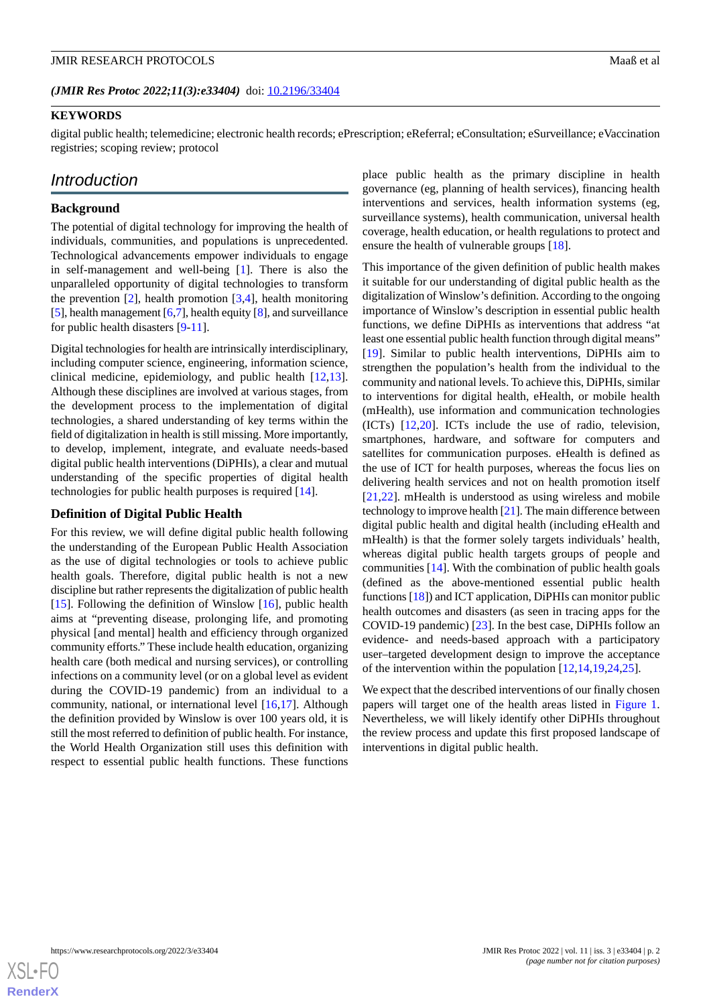### **KEYWORDS**

digital public health; telemedicine; electronic health records; ePrescription; eReferral; eConsultation; eSurveillance; eVaccination registries; scoping review; protocol

# *Introduction*

#### **Background**

The potential of digital technology for improving the health of individuals, communities, and populations is unprecedented. Technological advancements empower individuals to engage in self-management and well-being [\[1](#page-8-0)]. There is also the unparalleled opportunity of digital technologies to transform the prevention  $[2]$  $[2]$ , health promotion  $[3,4]$  $[3,4]$  $[3,4]$  $[3,4]$ , health monitoring [[5\]](#page-8-4), health management [[6](#page-8-5)[,7](#page-8-6)], health equity [[8](#page-8-7)], and surveillance for public health disasters [\[9](#page-8-8)-[11\]](#page-8-9).

Digital technologies for health are intrinsically interdisciplinary, including computer science, engineering, information science, clinical medicine, epidemiology, and public health [\[12](#page-8-10),[13\]](#page-8-11). Although these disciplines are involved at various stages, from the development process to the implementation of digital technologies, a shared understanding of key terms within the field of digitalization in health is still missing. More importantly, to develop, implement, integrate, and evaluate needs-based digital public health interventions (DiPHIs), a clear and mutual understanding of the specific properties of digital health technologies for public health purposes is required [\[14](#page-8-12)].

#### **Definition of Digital Public Health**

For this review, we will define digital public health following the understanding of the European Public Health Association as the use of digital technologies or tools to achieve public health goals. Therefore, digital public health is not a new discipline but rather represents the digitalization of public health [[15\]](#page-8-13). Following the definition of Winslow [[16\]](#page-8-14), public health aims at "preventing disease, prolonging life, and promoting physical [and mental] health and efficiency through organized community efforts." These include health education, organizing health care (both medical and nursing services), or controlling infections on a community level (or on a global level as evident during the COVID-19 pandemic) from an individual to a community, national, or international level [\[16](#page-8-14),[17\]](#page-8-15). Although the definition provided by Winslow is over 100 years old, it is still the most referred to definition of public health. For instance, the World Health Organization still uses this definition with respect to essential public health functions. These functions

place public health as the primary discipline in health governance (eg, planning of health services), financing health interventions and services, health information systems (eg, surveillance systems), health communication, universal health coverage, health education, or health regulations to protect and ensure the health of vulnerable groups [\[18](#page-8-16)].

This importance of the given definition of public health makes it suitable for our understanding of digital public health as the digitalization of Winslow's definition. According to the ongoing importance of Winslow's description in essential public health functions, we define DiPHIs as interventions that address "at least one essential public health function through digital means" [[19\]](#page-9-0). Similar to public health interventions, DiPHIs aim to strengthen the population's health from the individual to the community and national levels. To achieve this, DiPHIs, similar to interventions for digital health, eHealth, or mobile health (mHealth), use information and communication technologies (ICTs) [\[12](#page-8-10),[20\]](#page-9-1). ICTs include the use of radio, television, smartphones, hardware, and software for computers and satellites for communication purposes. eHealth is defined as the use of ICT for health purposes, whereas the focus lies on delivering health services and not on health promotion itself [[21,](#page-9-2)[22\]](#page-9-3). mHealth is understood as using wireless and mobile technology to improve health  $[21]$  $[21]$ . The main difference between digital public health and digital health (including eHealth and mHealth) is that the former solely targets individuals' health, whereas digital public health targets groups of people and communities [[14\]](#page-8-12). With the combination of public health goals (defined as the above-mentioned essential public health functions [[18\]](#page-8-16)) and ICT application, DiPHIs can monitor public health outcomes and disasters (as seen in tracing apps for the COVID-19 pandemic) [\[23](#page-9-4)]. In the best case, DiPHIs follow an evidence- and needs-based approach with a participatory user–targeted development design to improve the acceptance of the intervention within the population [\[12](#page-8-10),[14](#page-8-12)[,19](#page-9-0),[24](#page-9-5)[,25](#page-9-6)].

We expect that the described interventions of our finally chosen papers will target one of the health areas listed in [Figure 1](#page-2-0). Nevertheless, we will likely identify other DiPHIs throughout the review process and update this first proposed landscape of interventions in digital public health.

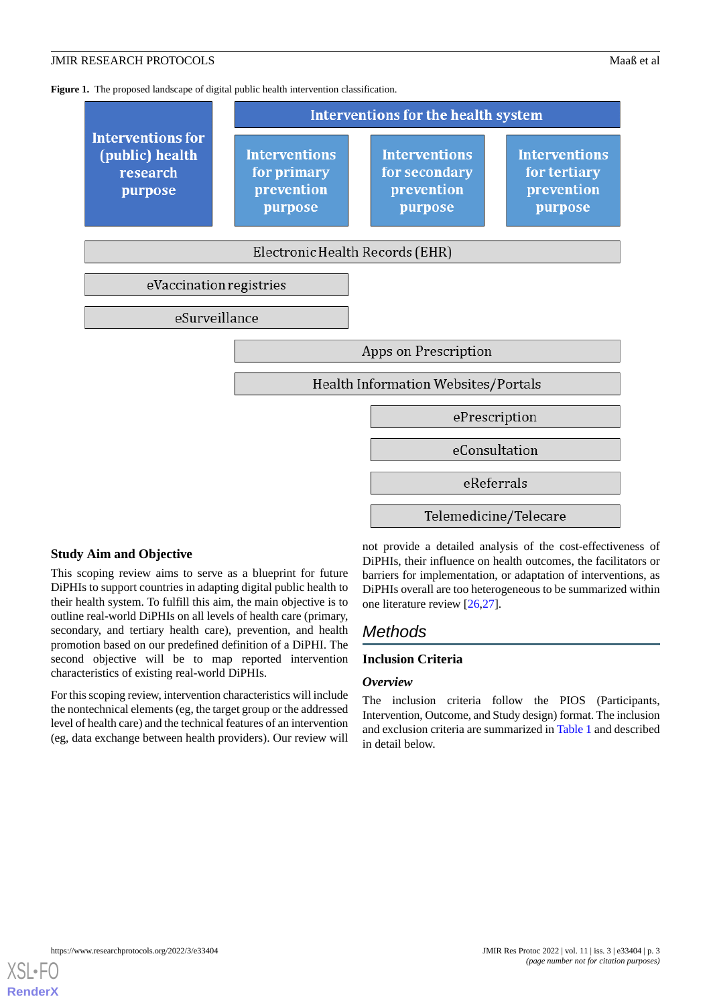<span id="page-2-0"></span>Figure 1. The proposed landscape of digital public health intervention classification.



#### **Study Aim and Objective**

This scoping review aims to serve as a blueprint for future DiPHIs to support countries in adapting digital public health to their health system. To fulfill this aim, the main objective is to outline real-world DiPHIs on all levels of health care (primary, secondary, and tertiary health care), prevention, and health promotion based on our predefined definition of a DiPHI. The second objective will be to map reported intervention characteristics of existing real-world DiPHIs.

For this scoping review, intervention characteristics will include the nontechnical elements (eg, the target group or the addressed level of health care) and the technical features of an intervention (eg, data exchange between health providers). Our review will

not provide a detailed analysis of the cost-effectiveness of DiPHIs, their influence on health outcomes, the facilitators or barriers for implementation, or adaptation of interventions, as DiPHIs overall are too heterogeneous to be summarized within one literature review [[26,](#page-9-7)[27](#page-9-8)].

# *Methods*

## **Inclusion Criteria**

#### *Overview*

The inclusion criteria follow the PIOS (Participants, Intervention, Outcome, and Study design) format. The inclusion and exclusion criteria are summarized in [Table 1](#page-3-0) and described in detail below.

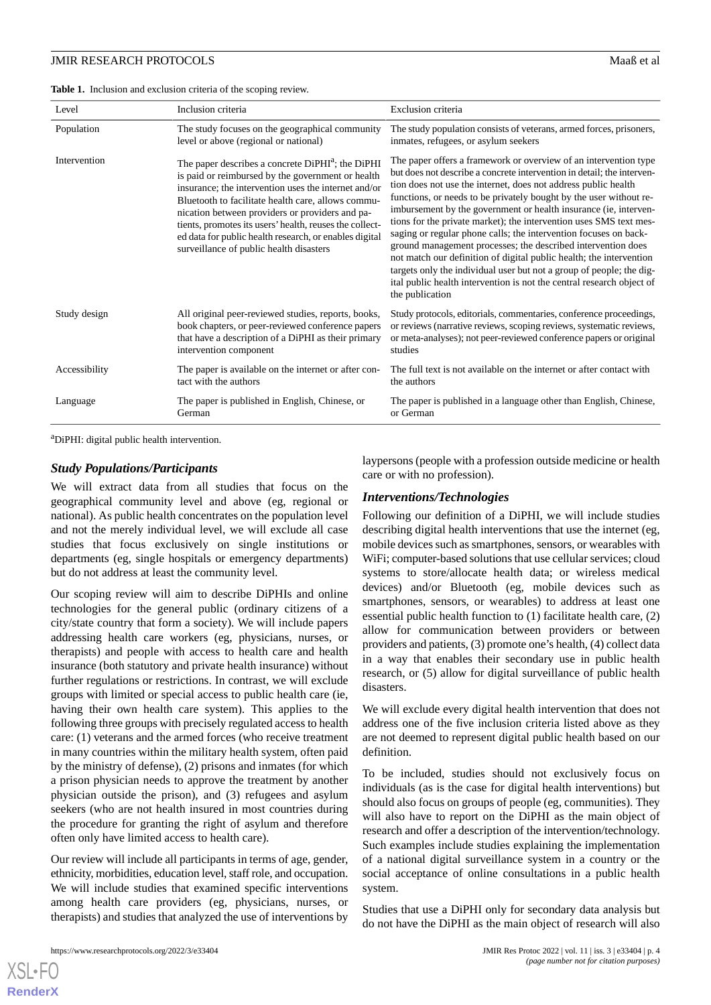<span id="page-3-0"></span>**Table 1.** Inclusion and exclusion criteria of the scoping review.

| Level         | Inclusion criteria                                                                                                                                                                                                                                                                                                                                                                                                                                  | Exclusion criteria                                                                                                                                                                                                                                                                                                                                                                                                                                                                                                                                                                                                                                                                                                                                                                                          |
|---------------|-----------------------------------------------------------------------------------------------------------------------------------------------------------------------------------------------------------------------------------------------------------------------------------------------------------------------------------------------------------------------------------------------------------------------------------------------------|-------------------------------------------------------------------------------------------------------------------------------------------------------------------------------------------------------------------------------------------------------------------------------------------------------------------------------------------------------------------------------------------------------------------------------------------------------------------------------------------------------------------------------------------------------------------------------------------------------------------------------------------------------------------------------------------------------------------------------------------------------------------------------------------------------------|
| Population    | The study focuses on the geographical community<br>level or above (regional or national)                                                                                                                                                                                                                                                                                                                                                            | The study population consists of veterans, armed forces, prisoners,<br>inmates, refugees, or asylum seekers                                                                                                                                                                                                                                                                                                                                                                                                                                                                                                                                                                                                                                                                                                 |
| Intervention  | The paper describes a concrete DiPHI <sup>a</sup> ; the DiPHI<br>is paid or reimbursed by the government or health<br>insurance; the intervention uses the internet and/or<br>Bluetooth to facilitate health care, allows commu-<br>nication between providers or providers and pa-<br>tients, promotes its users' health, reuses the collect-<br>ed data for public health research, or enables digital<br>surveillance of public health disasters | The paper offers a framework or overview of an intervention type<br>but does not describe a concrete intervention in detail; the interven-<br>tion does not use the internet, does not address public health<br>functions, or needs to be privately bought by the user without re-<br>imbursement by the government or health insurance (ie, interven-<br>tions for the private market); the intervention uses SMS text mes-<br>saging or regular phone calls; the intervention focuses on back-<br>ground management processes; the described intervention does<br>not match our definition of digital public health; the intervention<br>targets only the individual user but not a group of people; the dig-<br>ital public health intervention is not the central research object of<br>the publication |
| Study design  | All original peer-reviewed studies, reports, books,<br>book chapters, or peer-reviewed conference papers<br>that have a description of a DiPHI as their primary<br>intervention component                                                                                                                                                                                                                                                           | Study protocols, editorials, commentaries, conference proceedings,<br>or reviews (narrative reviews, scoping reviews, systematic reviews,<br>or meta-analyses); not peer-reviewed conference papers or original<br>studies                                                                                                                                                                                                                                                                                                                                                                                                                                                                                                                                                                                  |
| Accessibility | The paper is available on the internet or after con-<br>tact with the authors                                                                                                                                                                                                                                                                                                                                                                       | The full text is not available on the internet or after contact with<br>the authors                                                                                                                                                                                                                                                                                                                                                                                                                                                                                                                                                                                                                                                                                                                         |
| Language      | The paper is published in English, Chinese, or<br>German                                                                                                                                                                                                                                                                                                                                                                                            | The paper is published in a language other than English, Chinese,<br>or German                                                                                                                                                                                                                                                                                                                                                                                                                                                                                                                                                                                                                                                                                                                              |

<sup>a</sup>DiPHI: digital public health intervention.

#### *Study Populations/Participants*

We will extract data from all studies that focus on the geographical community level and above (eg, regional or national). As public health concentrates on the population level and not the merely individual level, we will exclude all case studies that focus exclusively on single institutions or departments (eg, single hospitals or emergency departments) but do not address at least the community level.

Our scoping review will aim to describe DiPHIs and online technologies for the general public (ordinary citizens of a city/state country that form a society). We will include papers addressing health care workers (eg, physicians, nurses, or therapists) and people with access to health care and health insurance (both statutory and private health insurance) without further regulations or restrictions. In contrast, we will exclude groups with limited or special access to public health care (ie, having their own health care system). This applies to the following three groups with precisely regulated access to health care: (1) veterans and the armed forces (who receive treatment in many countries within the military health system, often paid by the ministry of defense), (2) prisons and inmates (for which a prison physician needs to approve the treatment by another physician outside the prison), and (3) refugees and asylum seekers (who are not health insured in most countries during the procedure for granting the right of asylum and therefore often only have limited access to health care).

Our review will include all participants in terms of age, gender, ethnicity, morbidities, education level, staff role, and occupation. We will include studies that examined specific interventions among health care providers (eg, physicians, nurses, or therapists) and studies that analyzed the use of interventions by

laypersons (people with a profession outside medicine or health care or with no profession).

#### *Interventions/Technologies*

Following our definition of a DiPHI, we will include studies describing digital health interventions that use the internet (eg, mobile devices such as smartphones, sensors, or wearables with WiFi; computer-based solutions that use cellular services; cloud systems to store/allocate health data; or wireless medical devices) and/or Bluetooth (eg, mobile devices such as smartphones, sensors, or wearables) to address at least one essential public health function to (1) facilitate health care, (2) allow for communication between providers or between providers and patients, (3) promote one's health, (4) collect data in a way that enables their secondary use in public health research, or (5) allow for digital surveillance of public health disasters.

We will exclude every digital health intervention that does not address one of the five inclusion criteria listed above as they are not deemed to represent digital public health based on our definition.

To be included, studies should not exclusively focus on individuals (as is the case for digital health interventions) but should also focus on groups of people (eg, communities). They will also have to report on the DiPHI as the main object of research and offer a description of the intervention/technology. Such examples include studies explaining the implementation of a national digital surveillance system in a country or the social acceptance of online consultations in a public health system.

Studies that use a DiPHI only for secondary data analysis but do not have the DiPHI as the main object of research will also

```
XSL•FO
RenderX
```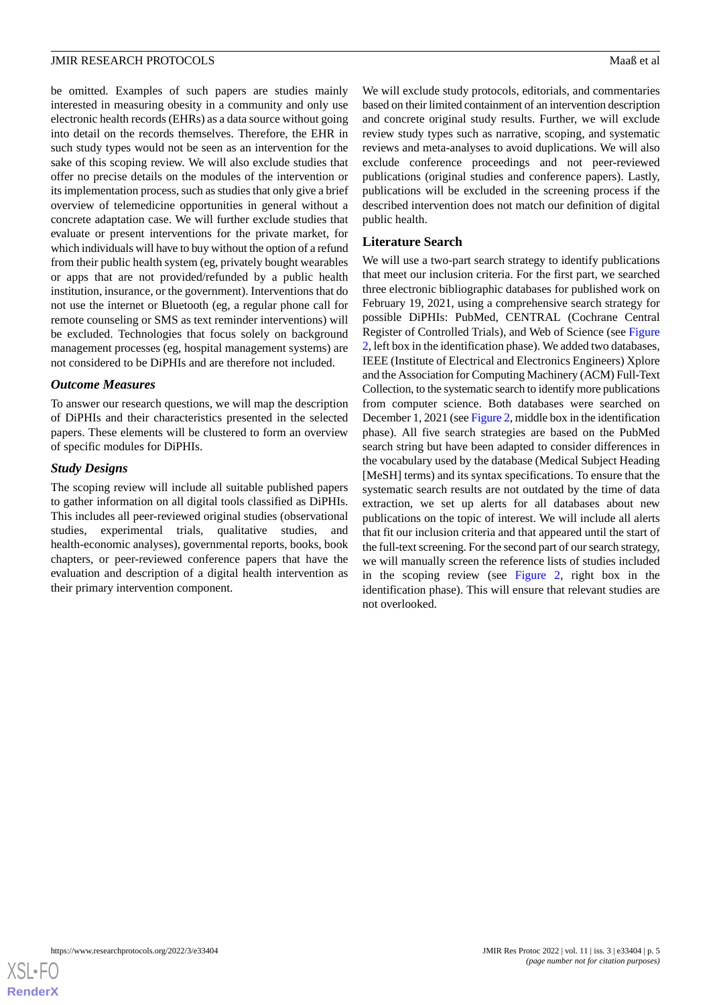be omitted. Examples of such papers are studies mainly interested in measuring obesity in a community and only use electronic health records (EHRs) as a data source without going into detail on the records themselves. Therefore, the EHR in such study types would not be seen as an intervention for the sake of this scoping review. We will also exclude studies that offer no precise details on the modules of the intervention or its implementation process, such as studies that only give a brief overview of telemedicine opportunities in general without a concrete adaptation case. We will further exclude studies that evaluate or present interventions for the private market, for which individuals will have to buy without the option of a refund from their public health system (eg, privately bought wearables or apps that are not provided/refunded by a public health institution, insurance, or the government). Interventions that do not use the internet or Bluetooth (eg, a regular phone call for remote counseling or SMS as text reminder interventions) will be excluded. Technologies that focus solely on background management processes (eg, hospital management systems) are not considered to be DiPHIs and are therefore not included.

#### *Outcome Measures*

To answer our research questions, we will map the description of DiPHIs and their characteristics presented in the selected papers. These elements will be clustered to form an overview of specific modules for DiPHIs.

#### *Study Designs*

The scoping review will include all suitable published papers to gather information on all digital tools classified as DiPHIs. This includes all peer-reviewed original studies (observational studies, experimental trials, qualitative studies, and health-economic analyses), governmental reports, books, book chapters, or peer-reviewed conference papers that have the evaluation and description of a digital health intervention as their primary intervention component.

We will exclude study protocols, editorials, and commentaries based on their limited containment of an intervention description and concrete original study results. Further, we will exclude review study types such as narrative, scoping, and systematic reviews and meta-analyses to avoid duplications. We will also exclude conference proceedings and not peer-reviewed publications (original studies and conference papers). Lastly, publications will be excluded in the screening process if the described intervention does not match our definition of digital public health.

#### **Literature Search**

We will use a two-part search strategy to identify publications that meet our inclusion criteria. For the first part, we searched three electronic bibliographic databases for published work on February 19, 2021, using a comprehensive search strategy for possible DiPHIs: PubMed, CENTRAL (Cochrane Central Register of Controlled Trials), and Web of Science (see [Figure](#page-5-0) [2,](#page-5-0) left box in the identification phase). We added two databases, IEEE (Institute of Electrical and Electronics Engineers) Xplore and the Association for Computing Machinery (ACM) Full-Text Collection, to the systematic search to identify more publications from computer science. Both databases were searched on December 1, 2021 (see [Figure 2](#page-5-0), middle box in the identification phase). All five search strategies are based on the PubMed search string but have been adapted to consider differences in the vocabulary used by the database (Medical Subject Heading [MeSH] terms) and its syntax specifications. To ensure that the systematic search results are not outdated by the time of data extraction, we set up alerts for all databases about new publications on the topic of interest. We will include all alerts that fit our inclusion criteria and that appeared until the start of the full-text screening. For the second part of our search strategy, we will manually screen the reference lists of studies included in the scoping review (see [Figure 2](#page-5-0), right box in the identification phase). This will ensure that relevant studies are not overlooked.

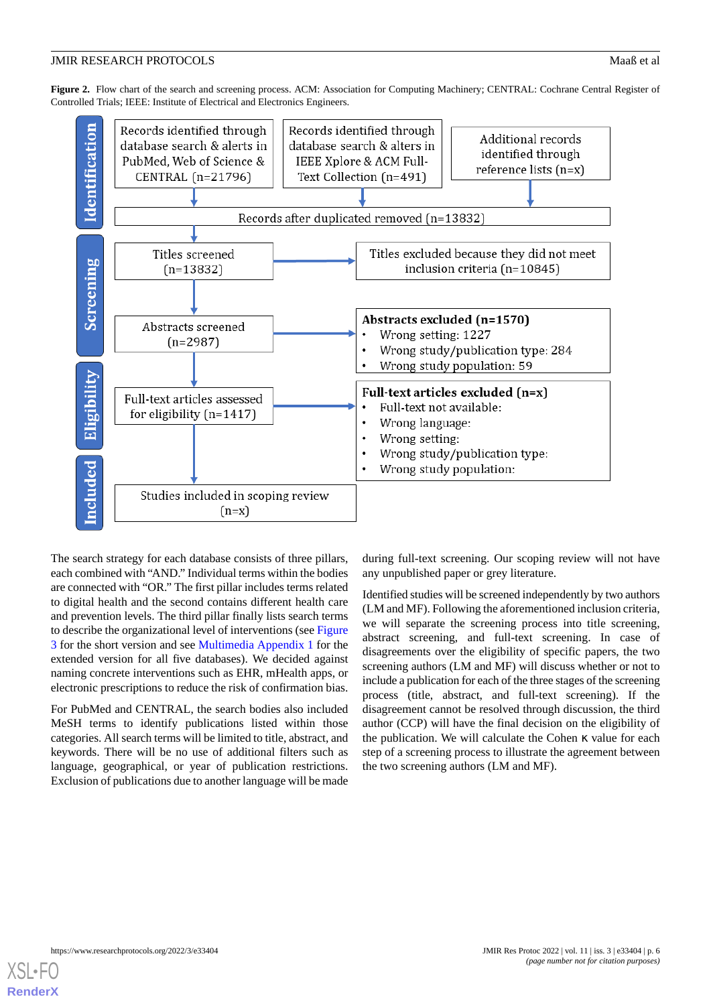<span id="page-5-0"></span>Figure 2. Flow chart of the search and screening process. ACM: Association for Computing Machinery; CENTRAL: Cochrane Central Register of Controlled Trials; IEEE: Institute of Electrical and Electronics Engineers.



The search strategy for each database consists of three pillars, each combined with "AND." Individual terms within the bodies are connected with "OR." The first pillar includes terms related to digital health and the second contains different health care and prevention levels. The third pillar finally lists search terms to describe the organizational level of interventions (see [Figure](#page-6-0) [3](#page-6-0) for the short version and see [Multimedia Appendix 1](#page-8-17) for the extended version for all five databases). We decided against naming concrete interventions such as EHR, mHealth apps, or electronic prescriptions to reduce the risk of confirmation bias.

For PubMed and CENTRAL, the search bodies also included MeSH terms to identify publications listed within those categories. All search terms will be limited to title, abstract, and keywords. There will be no use of additional filters such as language, geographical, or year of publication restrictions. Exclusion of publications due to another language will be made

during full-text screening. Our scoping review will not have any unpublished paper or grey literature.

Identified studies will be screened independently by two authors (LM and MF). Following the aforementioned inclusion criteria, we will separate the screening process into title screening, abstract screening, and full-text screening. In case of disagreements over the eligibility of specific papers, the two screening authors (LM and MF) will discuss whether or not to include a publication for each of the three stages of the screening process (title, abstract, and full-text screening). If the disagreement cannot be resolved through discussion, the third author (CCP) will have the final decision on the eligibility of the publication. We will calculate the Cohen κ value for each step of a screening process to illustrate the agreement between the two screening authors (LM and MF).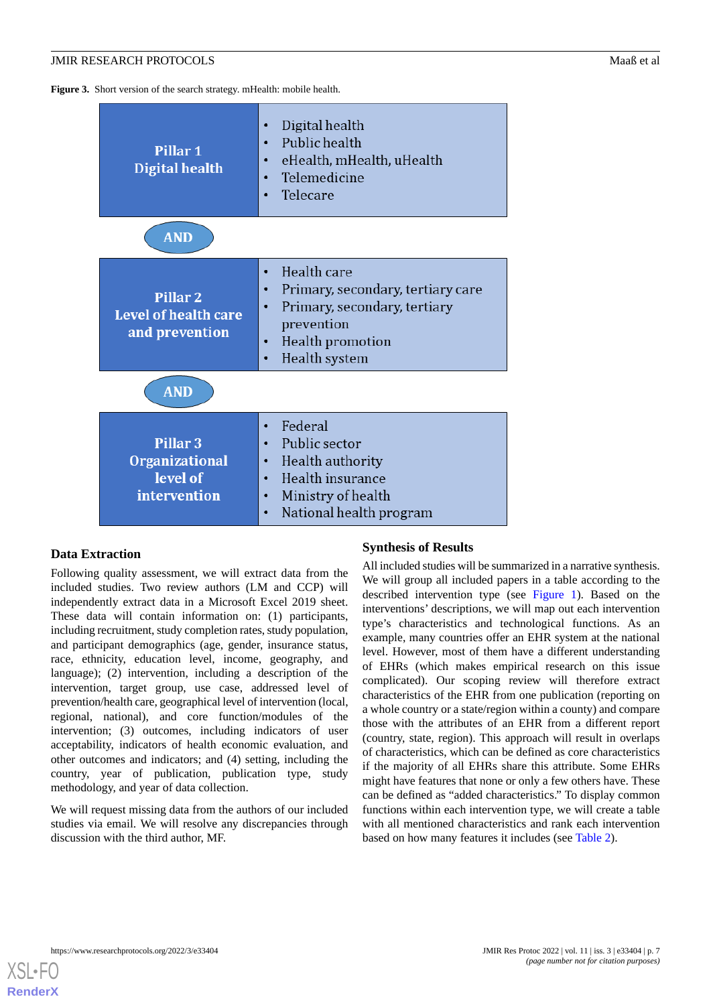<span id="page-6-0"></span>**Figure 3.** Short version of the search strategy. mHealth: mobile health.

| Pillar 1<br><b>Digital health</b>                                        | Digital health<br>$\bullet$<br>Public health<br>$\bullet$<br>eHealth, mHealth, uHealth<br>$\bullet$<br>Telemedicine<br>$\bullet$<br>Telecare                                                    |  |  |  |
|--------------------------------------------------------------------------|-------------------------------------------------------------------------------------------------------------------------------------------------------------------------------------------------|--|--|--|
| <b>AND</b>                                                               |                                                                                                                                                                                                 |  |  |  |
| <b>Pillar 2</b><br><b>Level of health care</b><br>and prevention         | Health care<br>$\bullet$<br>Primary, secondary, tertiary care<br>$\bullet$<br>Primary, secondary, tertiary<br>$\bullet$<br>prevention<br>Health promotion<br>$\bullet$<br>Health system         |  |  |  |
| <b>AND</b>                                                               |                                                                                                                                                                                                 |  |  |  |
| Pillar <sub>3</sub><br><b>Organizational</b><br>level of<br>intervention | Federal<br>$\bullet$<br>Public sector<br>$\bullet$<br>Health authority<br>$\bullet$<br>Health insurance<br>$\bullet$<br>Ministry of health<br>$\bullet$<br>National health program<br>$\bullet$ |  |  |  |

### **Data Extraction**

Following quality assessment, we will extract data from the included studies. Two review authors (LM and CCP) will independently extract data in a Microsoft Excel 2019 sheet. These data will contain information on: (1) participants, including recruitment, study completion rates, study population, and participant demographics (age, gender, insurance status, race, ethnicity, education level, income, geography, and language); (2) intervention, including a description of the intervention, target group, use case, addressed level of prevention/health care, geographical level of intervention (local, regional, national), and core function/modules of the intervention; (3) outcomes, including indicators of user acceptability, indicators of health economic evaluation, and other outcomes and indicators; and (4) setting, including the country, year of publication, publication type, study methodology, and year of data collection.

We will request missing data from the authors of our included studies via email. We will resolve any discrepancies through discussion with the third author, MF.

#### **Synthesis of Results**

All included studies will be summarized in a narrative synthesis. We will group all included papers in a table according to the described intervention type (see [Figure 1](#page-2-0)). Based on the interventions' descriptions, we will map out each intervention type's characteristics and technological functions. As an example, many countries offer an EHR system at the national level. However, most of them have a different understanding of EHRs (which makes empirical research on this issue complicated). Our scoping review will therefore extract characteristics of the EHR from one publication (reporting on a whole country or a state/region within a county) and compare those with the attributes of an EHR from a different report (country, state, region). This approach will result in overlaps of characteristics, which can be defined as core characteristics if the majority of all EHRs share this attribute. Some EHRs might have features that none or only a few others have. These can be defined as "added characteristics." To display common functions within each intervention type, we will create a table with all mentioned characteristics and rank each intervention based on how many features it includes (see [Table 2\)](#page-7-0).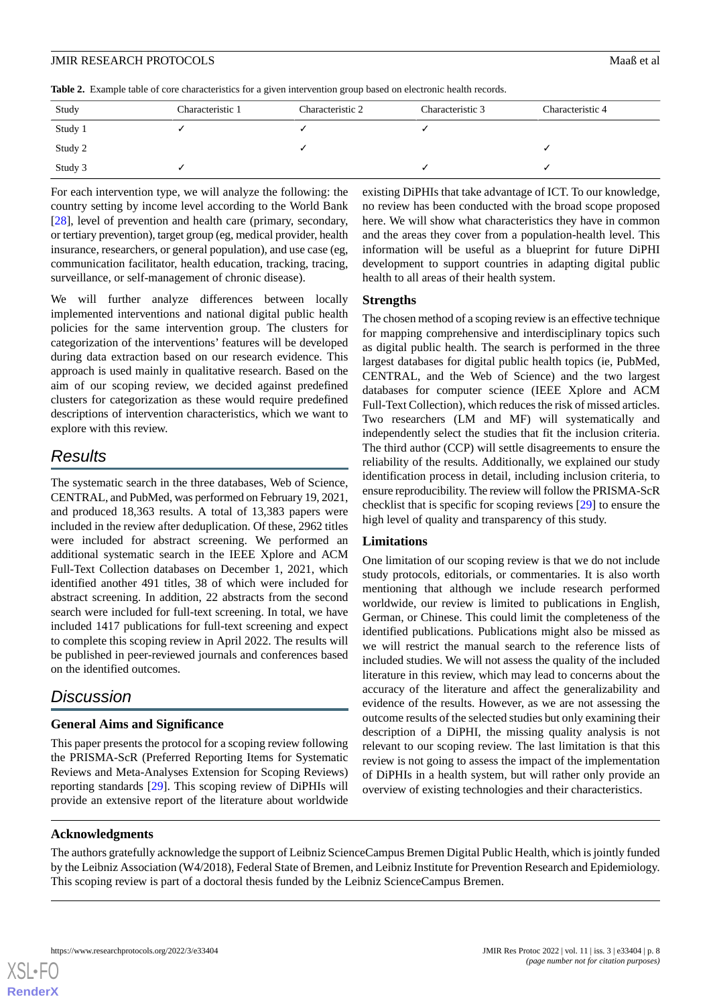<span id="page-7-0"></span>**Table 2.** Example table of core characteristics for a given intervention group based on electronic health records.

| Study   | Characteristic 1 | Characteristic 2 | Characteristic 3 | Characteristic 4 |
|---------|------------------|------------------|------------------|------------------|
| Study 1 |                  |                  |                  |                  |
| Study 2 |                  |                  |                  |                  |
| Study 3 |                  |                  |                  |                  |

For each intervention type, we will analyze the following: the country setting by income level according to the World Bank [[28\]](#page-9-9), level of prevention and health care (primary, secondary, or tertiary prevention), target group (eg, medical provider, health insurance, researchers, or general population), and use case (eg, communication facilitator, health education, tracking, tracing, surveillance, or self-management of chronic disease).

We will further analyze differences between locally implemented interventions and national digital public health policies for the same intervention group. The clusters for categorization of the interventions' features will be developed during data extraction based on our research evidence. This approach is used mainly in qualitative research. Based on the aim of our scoping review, we decided against predefined clusters for categorization as these would require predefined descriptions of intervention characteristics, which we want to explore with this review.

# *Results*

The systematic search in the three databases, Web of Science, CENTRAL, and PubMed, was performed on February 19, 2021, and produced 18,363 results. A total of 13,383 papers were included in the review after deduplication. Of these, 2962 titles were included for abstract screening. We performed an additional systematic search in the IEEE Xplore and ACM Full-Text Collection databases on December 1, 2021, which identified another 491 titles, 38 of which were included for abstract screening. In addition, 22 abstracts from the second search were included for full-text screening. In total, we have included 1417 publications for full-text screening and expect to complete this scoping review in April 2022. The results will be published in peer-reviewed journals and conferences based on the identified outcomes.

# *Discussion*

# **General Aims and Significance**

This paper presents the protocol for a scoping review following the PRISMA-ScR (Preferred Reporting Items for Systematic Reviews and Meta-Analyses Extension for Scoping Reviews) reporting standards [[29\]](#page-9-10). This scoping review of DiPHIs will provide an extensive report of the literature about worldwide existing DiPHIs that take advantage of ICT. To our knowledge, no review has been conducted with the broad scope proposed here. We will show what characteristics they have in common and the areas they cover from a population-health level. This information will be useful as a blueprint for future DiPHI development to support countries in adapting digital public health to all areas of their health system.

## **Strengths**

The chosen method of a scoping review is an effective technique for mapping comprehensive and interdisciplinary topics such as digital public health. The search is performed in the three largest databases for digital public health topics (ie, PubMed, CENTRAL, and the Web of Science) and the two largest databases for computer science (IEEE Xplore and ACM Full-Text Collection), which reduces the risk of missed articles. Two researchers (LM and MF) will systematically and independently select the studies that fit the inclusion criteria. The third author (CCP) will settle disagreements to ensure the reliability of the results. Additionally, we explained our study identification process in detail, including inclusion criteria, to ensure reproducibility. The review will follow the PRISMA-ScR checklist that is specific for scoping reviews [[29\]](#page-9-10) to ensure the high level of quality and transparency of this study.

# **Limitations**

One limitation of our scoping review is that we do not include study protocols, editorials, or commentaries. It is also worth mentioning that although we include research performed worldwide, our review is limited to publications in English, German, or Chinese. This could limit the completeness of the identified publications. Publications might also be missed as we will restrict the manual search to the reference lists of included studies. We will not assess the quality of the included literature in this review, which may lead to concerns about the accuracy of the literature and affect the generalizability and evidence of the results. However, as we are not assessing the outcome results of the selected studies but only examining their description of a DiPHI, the missing quality analysis is not relevant to our scoping review. The last limitation is that this review is not going to assess the impact of the implementation of DiPHIs in a health system, but will rather only provide an overview of existing technologies and their characteristics.

# **Acknowledgments**

The authors gratefully acknowledge the support of Leibniz ScienceCampus Bremen Digital Public Health, which is jointly funded by the Leibniz Association (W4/2018), Federal State of Bremen, and Leibniz Institute for Prevention Research and Epidemiology. This scoping review is part of a doctoral thesis funded by the Leibniz ScienceCampus Bremen.

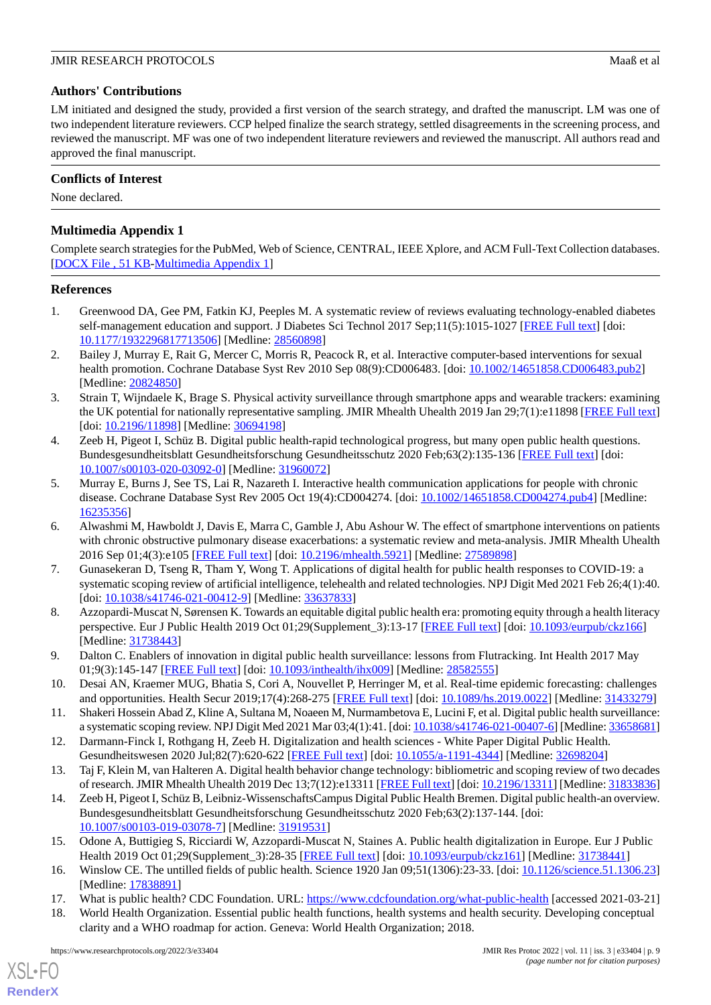## **Authors' Contributions**

LM initiated and designed the study, provided a first version of the search strategy, and drafted the manuscript. LM was one of two independent literature reviewers. CCP helped finalize the search strategy, settled disagreements in the screening process, and reviewed the manuscript. MF was one of two independent literature reviewers and reviewed the manuscript. All authors read and approved the final manuscript.

## **Conflicts of Interest**

<span id="page-8-17"></span>None declared.

# **Multimedia Appendix 1**

Complete search strategies for the PubMed, Web of Science, CENTRAL, IEEE Xplore, and ACM Full-Text Collection databases. [[DOCX File , 51 KB](https://jmir.org/api/download?alt_name=resprot_v11i3e33404_app1.docx&filename=9a3ccbf01db134f19e73a0476fa87114.docx)-[Multimedia Appendix 1\]](https://jmir.org/api/download?alt_name=resprot_v11i3e33404_app1.docx&filename=9a3ccbf01db134f19e73a0476fa87114.docx)

### <span id="page-8-0"></span>**References**

- <span id="page-8-1"></span>1. Greenwood DA, Gee PM, Fatkin KJ, Peeples M. A systematic review of reviews evaluating technology-enabled diabetes self-management education and support. J Diabetes Sci Technol 2017 Sep;11(5):1015-1027 [[FREE Full text](http://europepmc.org/abstract/MED/28560898)] [doi: [10.1177/1932296817713506\]](http://dx.doi.org/10.1177/1932296817713506) [Medline: [28560898\]](http://www.ncbi.nlm.nih.gov/entrez/query.fcgi?cmd=Retrieve&db=PubMed&list_uids=28560898&dopt=Abstract)
- <span id="page-8-2"></span>2. Bailey J, Murray E, Rait G, Mercer C, Morris R, Peacock R, et al. Interactive computer-based interventions for sexual health promotion. Cochrane Database Syst Rev 2010 Sep 08(9):CD006483. [doi: [10.1002/14651858.CD006483.pub2](http://dx.doi.org/10.1002/14651858.CD006483.pub2)] [Medline: [20824850](http://www.ncbi.nlm.nih.gov/entrez/query.fcgi?cmd=Retrieve&db=PubMed&list_uids=20824850&dopt=Abstract)]
- <span id="page-8-3"></span>3. Strain T, Wijndaele K, Brage S. Physical activity surveillance through smartphone apps and wearable trackers: examining the UK potential for nationally representative sampling. JMIR Mhealth Uhealth 2019 Jan 29;7(1):e11898 [[FREE Full text](https://mhealth.jmir.org/2019/1/e11898/)] [doi: [10.2196/11898](http://dx.doi.org/10.2196/11898)] [Medline: [30694198\]](http://www.ncbi.nlm.nih.gov/entrez/query.fcgi?cmd=Retrieve&db=PubMed&list_uids=30694198&dopt=Abstract)
- <span id="page-8-4"></span>4. Zeeb H, Pigeot I, Schüz B. Digital public health-rapid technological progress, but many open public health questions. Bundesgesundheitsblatt Gesundheitsforschung Gesundheitsschutz 2020 Feb;63(2):135-136 [\[FREE Full text\]](http://europepmc.org/abstract/MED/31960072) [doi: [10.1007/s00103-020-03092-0\]](http://dx.doi.org/10.1007/s00103-020-03092-0) [Medline: [31960072\]](http://www.ncbi.nlm.nih.gov/entrez/query.fcgi?cmd=Retrieve&db=PubMed&list_uids=31960072&dopt=Abstract)
- <span id="page-8-5"></span>5. Murray E, Burns J, See TS, Lai R, Nazareth I. Interactive health communication applications for people with chronic disease. Cochrane Database Syst Rev 2005 Oct 19(4):CD004274. [doi: [10.1002/14651858.CD004274.pub4\]](http://dx.doi.org/10.1002/14651858.CD004274.pub4) [Medline: [16235356](http://www.ncbi.nlm.nih.gov/entrez/query.fcgi?cmd=Retrieve&db=PubMed&list_uids=16235356&dopt=Abstract)]
- <span id="page-8-6"></span>6. Alwashmi M, Hawboldt J, Davis E, Marra C, Gamble J, Abu Ashour W. The effect of smartphone interventions on patients with chronic obstructive pulmonary disease exacerbations: a systematic review and meta-analysis. JMIR Mhealth Uhealth 2016 Sep 01;4(3):e105 [\[FREE Full text](https://mhealth.jmir.org/2016/3/e105/)] [doi: [10.2196/mhealth.5921\]](http://dx.doi.org/10.2196/mhealth.5921) [Medline: [27589898](http://www.ncbi.nlm.nih.gov/entrez/query.fcgi?cmd=Retrieve&db=PubMed&list_uids=27589898&dopt=Abstract)]
- <span id="page-8-7"></span>7. Gunasekeran D, Tseng R, Tham Y, Wong T. Applications of digital health for public health responses to COVID-19: a systematic scoping review of artificial intelligence, telehealth and related technologies. NPJ Digit Med 2021 Feb 26;4(1):40. [doi: [10.1038/s41746-021-00412-9](http://dx.doi.org/10.1038/s41746-021-00412-9)] [Medline: [33637833\]](http://www.ncbi.nlm.nih.gov/entrez/query.fcgi?cmd=Retrieve&db=PubMed&list_uids=33637833&dopt=Abstract)
- <span id="page-8-8"></span>8. Azzopardi-Muscat N, Sørensen K. Towards an equitable digital public health era: promoting equity through a health literacy perspective. Eur J Public Health 2019 Oct 01;29(Supplement\_3):13-17 [[FREE Full text](http://europepmc.org/abstract/MED/31738443)] [doi: [10.1093/eurpub/ckz166](http://dx.doi.org/10.1093/eurpub/ckz166)] [Medline: [31738443](http://www.ncbi.nlm.nih.gov/entrez/query.fcgi?cmd=Retrieve&db=PubMed&list_uids=31738443&dopt=Abstract)]
- <span id="page-8-10"></span><span id="page-8-9"></span>9. Dalton C. Enablers of innovation in digital public health surveillance: lessons from Flutracking. Int Health 2017 May 01;9(3):145-147 [[FREE Full text](http://europepmc.org/abstract/MED/28582555)] [doi: [10.1093/inthealth/ihx009](http://dx.doi.org/10.1093/inthealth/ihx009)] [Medline: [28582555](http://www.ncbi.nlm.nih.gov/entrez/query.fcgi?cmd=Retrieve&db=PubMed&list_uids=28582555&dopt=Abstract)]
- <span id="page-8-11"></span>10. Desai AN, Kraemer MUG, Bhatia S, Cori A, Nouvellet P, Herringer M, et al. Real-time epidemic forecasting: challenges and opportunities. Health Secur 2019;17(4):268-275 [\[FREE Full text](http://europepmc.org/abstract/MED/31433279)] [doi: [10.1089/hs.2019.0022\]](http://dx.doi.org/10.1089/hs.2019.0022) [Medline: [31433279\]](http://www.ncbi.nlm.nih.gov/entrez/query.fcgi?cmd=Retrieve&db=PubMed&list_uids=31433279&dopt=Abstract)
- <span id="page-8-12"></span>11. Shakeri Hossein Abad Z, Kline A, Sultana M, Noaeen M, Nurmambetova E, Lucini F, et al. Digital public health surveillance: a systematic scoping review. NPJ Digit Med 2021 Mar 03;4(1):41. [doi: [10.1038/s41746-021-00407-6\]](http://dx.doi.org/10.1038/s41746-021-00407-6) [Medline: [33658681\]](http://www.ncbi.nlm.nih.gov/entrez/query.fcgi?cmd=Retrieve&db=PubMed&list_uids=33658681&dopt=Abstract)
- 12. Darmann-Finck I, Rothgang H, Zeeb H. Digitalization and health sciences White Paper Digital Public Health. Gesundheitswesen 2020 Jul;82(7):620-622 [\[FREE Full text](http://www.thieme-connect.com/DOI/DOI?10.1055/a-1191-4344)] [doi: [10.1055/a-1191-4344](http://dx.doi.org/10.1055/a-1191-4344)] [Medline: [32698204\]](http://www.ncbi.nlm.nih.gov/entrez/query.fcgi?cmd=Retrieve&db=PubMed&list_uids=32698204&dopt=Abstract)
- <span id="page-8-13"></span>13. Taj F, Klein M, van Halteren A. Digital health behavior change technology: bibliometric and scoping review of two decades of research. JMIR Mhealth Uhealth 2019 Dec 13;7(12):e13311 [[FREE Full text\]](https://mhealth.jmir.org/2019/12/e13311/) [doi: [10.2196/13311](http://dx.doi.org/10.2196/13311)] [Medline: [31833836\]](http://www.ncbi.nlm.nih.gov/entrez/query.fcgi?cmd=Retrieve&db=PubMed&list_uids=31833836&dopt=Abstract)
- <span id="page-8-15"></span><span id="page-8-14"></span>14. Zeeb H, Pigeot I, Schüz B, Leibniz-WissenschaftsCampus Digital Public Health Bremen. Digital public health-an overview. Bundesgesundheitsblatt Gesundheitsforschung Gesundheitsschutz 2020 Feb;63(2):137-144. [doi: [10.1007/s00103-019-03078-7\]](http://dx.doi.org/10.1007/s00103-019-03078-7) [Medline: [31919531\]](http://www.ncbi.nlm.nih.gov/entrez/query.fcgi?cmd=Retrieve&db=PubMed&list_uids=31919531&dopt=Abstract)
- <span id="page-8-16"></span>15. Odone A, Buttigieg S, Ricciardi W, Azzopardi-Muscat N, Staines A. Public health digitalization in Europe. Eur J Public Health 2019 Oct 01;29(Supplement\_3):28-35 [\[FREE Full text\]](http://europepmc.org/abstract/MED/31738441) [doi: [10.1093/eurpub/ckz161\]](http://dx.doi.org/10.1093/eurpub/ckz161) [Medline: [31738441](http://www.ncbi.nlm.nih.gov/entrez/query.fcgi?cmd=Retrieve&db=PubMed&list_uids=31738441&dopt=Abstract)]
- 16. Winslow CE. The untilled fields of public health. Science 1920 Jan 09;51(1306):23-33. [doi: [10.1126/science.51.1306.23](http://dx.doi.org/10.1126/science.51.1306.23)] [Medline: [17838891](http://www.ncbi.nlm.nih.gov/entrez/query.fcgi?cmd=Retrieve&db=PubMed&list_uids=17838891&dopt=Abstract)]
- 17. What is public health? CDC Foundation. URL:<https://www.cdcfoundation.org/what-public-health> [accessed 2021-03-21]
- 18. World Health Organization. Essential public health functions, health systems and health security. Developing conceptual clarity and a WHO roadmap for action. Geneva: World Health Organization; 2018.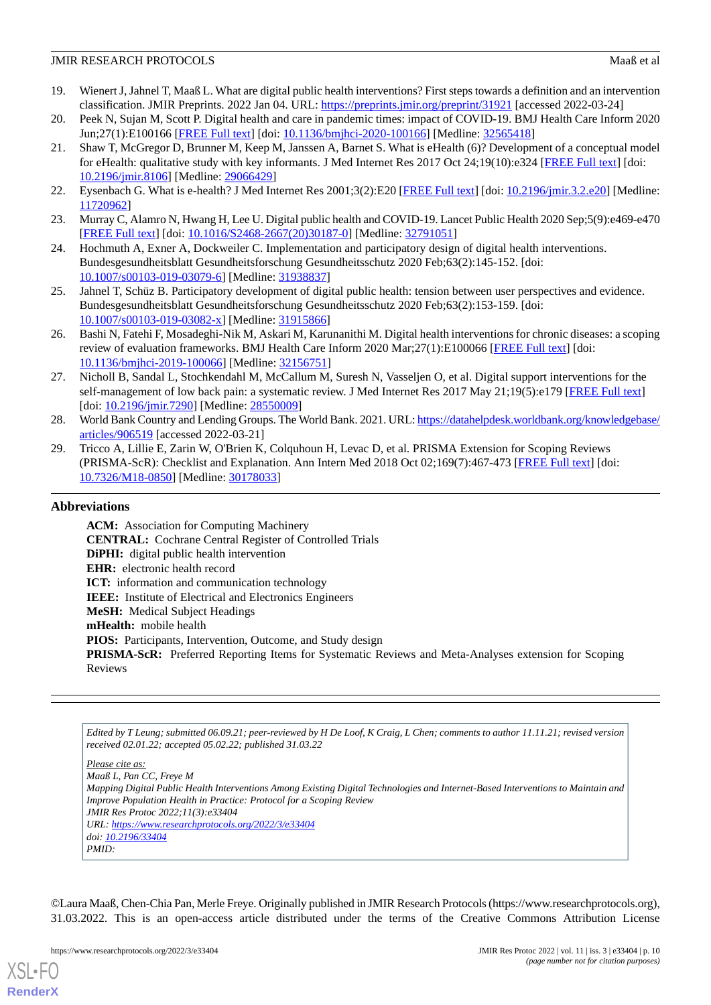- <span id="page-9-0"></span>19. Wienert J, Jahnel T, Maaß L. What are digital public health interventions? First steps towards a definition and an intervention classification. JMIR Preprints. 2022 Jan 04. URL:<https://preprints.jmir.org/preprint/31921> [accessed 2022-03-24]
- <span id="page-9-1"></span>20. Peek N, Sujan M, Scott P. Digital health and care in pandemic times: impact of COVID-19. BMJ Health Care Inform 2020 Jun;27(1):E100166 [[FREE Full text\]](https://informatics.bmj.com/lookup/pmidlookup?view=long&pmid=32565418) [doi: [10.1136/bmjhci-2020-100166\]](http://dx.doi.org/10.1136/bmjhci-2020-100166) [Medline: [32565418\]](http://www.ncbi.nlm.nih.gov/entrez/query.fcgi?cmd=Retrieve&db=PubMed&list_uids=32565418&dopt=Abstract)
- <span id="page-9-2"></span>21. Shaw T, McGregor D, Brunner M, Keep M, Janssen A, Barnet S. What is eHealth (6)? Development of a conceptual model for eHealth: qualitative study with key informants. J Med Internet Res 2017 Oct 24;19(10):e324 [\[FREE Full text](https://www.jmir.org/2017/10/e324/)] [doi: [10.2196/jmir.8106](http://dx.doi.org/10.2196/jmir.8106)] [Medline: [29066429](http://www.ncbi.nlm.nih.gov/entrez/query.fcgi?cmd=Retrieve&db=PubMed&list_uids=29066429&dopt=Abstract)]
- <span id="page-9-4"></span><span id="page-9-3"></span>22. Eysenbach G. What is e-health? J Med Internet Res 2001;3(2):E20 [[FREE Full text\]](https://www.jmir.org/2001/2/e20/) [doi: [10.2196/jmir.3.2.e20\]](http://dx.doi.org/10.2196/jmir.3.2.e20) [Medline: [11720962](http://www.ncbi.nlm.nih.gov/entrez/query.fcgi?cmd=Retrieve&db=PubMed&list_uids=11720962&dopt=Abstract)]
- <span id="page-9-5"></span>23. Murray C, Alamro N, Hwang H, Lee U. Digital public health and COVID-19. Lancet Public Health 2020 Sep;5(9):e469-e470 [[FREE Full text](https://linkinghub.elsevier.com/retrieve/pii/S2468-2667(20)30187-0)] [doi: [10.1016/S2468-2667\(20\)30187-0\]](http://dx.doi.org/10.1016/S2468-2667(20)30187-0) [Medline: [32791051](http://www.ncbi.nlm.nih.gov/entrez/query.fcgi?cmd=Retrieve&db=PubMed&list_uids=32791051&dopt=Abstract)]
- <span id="page-9-6"></span>24. Hochmuth A, Exner A, Dockweiler C. Implementation and participatory design of digital health interventions. Bundesgesundheitsblatt Gesundheitsforschung Gesundheitsschutz 2020 Feb;63(2):145-152. [doi: [10.1007/s00103-019-03079-6\]](http://dx.doi.org/10.1007/s00103-019-03079-6) [Medline: [31938837\]](http://www.ncbi.nlm.nih.gov/entrez/query.fcgi?cmd=Retrieve&db=PubMed&list_uids=31938837&dopt=Abstract)
- <span id="page-9-7"></span>25. Jahnel T, Schüz B. Participatory development of digital public health: tension between user perspectives and evidence. Bundesgesundheitsblatt Gesundheitsforschung Gesundheitsschutz 2020 Feb;63(2):153-159. [doi: [10.1007/s00103-019-03082-x\]](http://dx.doi.org/10.1007/s00103-019-03082-x) [Medline: [31915866\]](http://www.ncbi.nlm.nih.gov/entrez/query.fcgi?cmd=Retrieve&db=PubMed&list_uids=31915866&dopt=Abstract)
- <span id="page-9-8"></span>26. Bashi N, Fatehi F, Mosadeghi-Nik M, Askari M, Karunanithi M. Digital health interventions for chronic diseases: a scoping review of evaluation frameworks. BMJ Health Care Inform 2020 Mar;27(1):E100066 [[FREE Full text](https://informatics.bmj.com/lookup/pmidlookup?view=long&pmid=32156751)] [doi: [10.1136/bmjhci-2019-100066](http://dx.doi.org/10.1136/bmjhci-2019-100066)] [Medline: [32156751](http://www.ncbi.nlm.nih.gov/entrez/query.fcgi?cmd=Retrieve&db=PubMed&list_uids=32156751&dopt=Abstract)]
- <span id="page-9-9"></span>27. Nicholl B, Sandal L, Stochkendahl M, McCallum M, Suresh N, Vasseljen O, et al. Digital support interventions for the self-management of low back pain: a systematic review. J Med Internet Res 2017 May 21;19(5):e179 [[FREE Full text](https://www.jmir.org/2017/5/e179/)] [doi: [10.2196/jmir.7290\]](http://dx.doi.org/10.2196/jmir.7290) [Medline: [28550009\]](http://www.ncbi.nlm.nih.gov/entrez/query.fcgi?cmd=Retrieve&db=PubMed&list_uids=28550009&dopt=Abstract)
- <span id="page-9-10"></span>28. World Bank Country and Lending Groups. The World Bank. 2021. URL: [https://datahelpdesk.worldbank.org/knowledgebase/](https://datahelpdesk.worldbank.org/knowledgebase/articles/906519) [articles/906519](https://datahelpdesk.worldbank.org/knowledgebase/articles/906519) [accessed 2022-03-21]
- 29. Tricco A, Lillie E, Zarin W, O'Brien K, Colquhoun H, Levac D, et al. PRISMA Extension for Scoping Reviews (PRISMA-ScR): Checklist and Explanation. Ann Intern Med 2018 Oct 02;169(7):467-473 [[FREE Full text](https://www.acpjournals.org/doi/abs/10.7326/M18-0850?url_ver=Z39.88-2003&rfr_id=ori:rid:crossref.org&rfr_dat=cr_pub%3dpubmed)] [doi: [10.7326/M18-0850](http://dx.doi.org/10.7326/M18-0850)] [Medline: [30178033\]](http://www.ncbi.nlm.nih.gov/entrez/query.fcgi?cmd=Retrieve&db=PubMed&list_uids=30178033&dopt=Abstract)

## **Abbreviations**

**ACM:** Association for Computing Machinery **CENTRAL:** Cochrane Central Register of Controlled Trials **DiPHI:** digital public health intervention **EHR:** electronic health record **ICT:** information and communication technology **IEEE:** Institute of Electrical and Electronics Engineers **MeSH:** Medical Subject Headings **mHealth:** mobile health PIOS: Participants, Intervention, Outcome, and Study design **PRISMA-ScR:** Preferred Reporting Items for Systematic Reviews and Meta-Analyses extension for Scoping Reviews

*Edited by T Leung; submitted 06.09.21; peer-reviewed by H De Loof, K Craig, L Chen; comments to author 11.11.21; revised version received 02.01.22; accepted 05.02.22; published 31.03.22*

*Please cite as: Maaß L, Pan CC, Freye M Mapping Digital Public Health Interventions Among Existing Digital Technologies and Internet-Based Interventions to Maintain and Improve Population Health in Practice: Protocol for a Scoping Review JMIR Res Protoc 2022;11(3):e33404 URL: <https://www.researchprotocols.org/2022/3/e33404> doi: [10.2196/33404](http://dx.doi.org/10.2196/33404) PMID:*

©Laura Maaß, Chen-Chia Pan, Merle Freye. Originally published in JMIR Research Protocols (https://www.researchprotocols.org), 31.03.2022. This is an open-access article distributed under the terms of the Creative Commons Attribution License